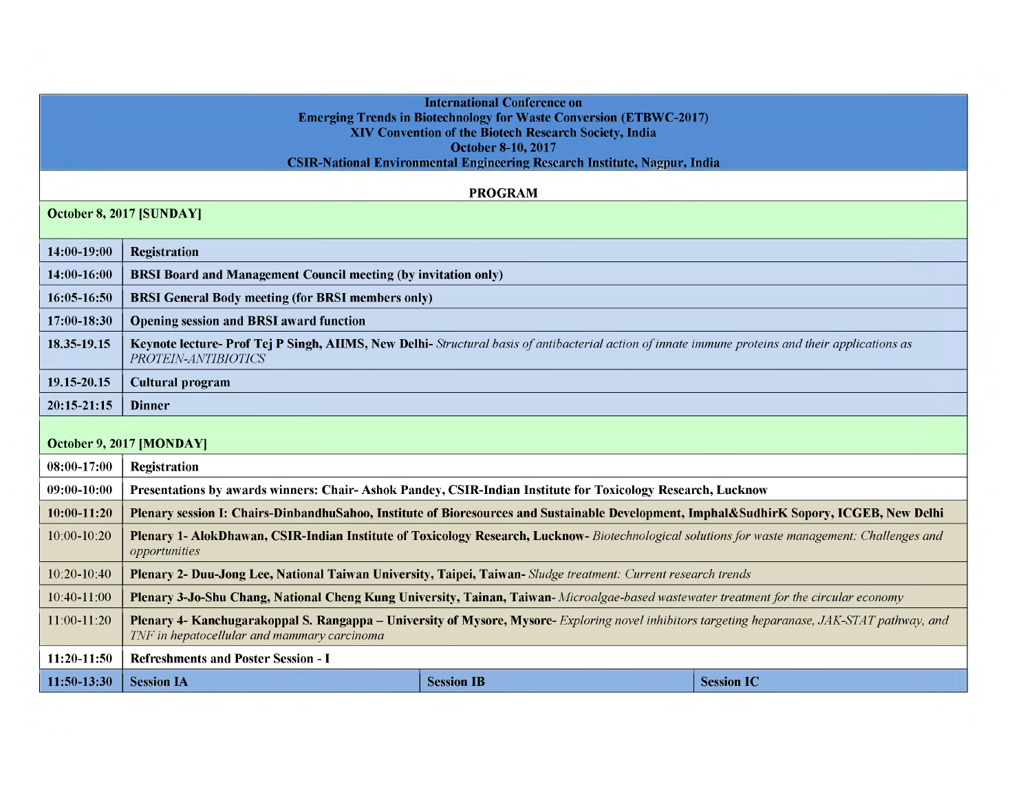|                          |                                                                                                                                                                                              | <b>International Conference on</b>                                               |                   |  |  |
|--------------------------|----------------------------------------------------------------------------------------------------------------------------------------------------------------------------------------------|----------------------------------------------------------------------------------|-------------------|--|--|
|                          |                                                                                                                                                                                              | <b>Emerging Trends in Biotechnology for Waste Conversion (ETBWC-2017)</b>        |                   |  |  |
|                          | XIV Convention of the Biotech Research Society, India<br><b>October 8-10, 2017</b>                                                                                                           |                                                                                  |                   |  |  |
|                          |                                                                                                                                                                                              | <b>CSIR-National Environmental Engineering Research Institute, Nagpur, India</b> |                   |  |  |
|                          |                                                                                                                                                                                              |                                                                                  |                   |  |  |
|                          |                                                                                                                                                                                              | <b>PROGRAM</b>                                                                   |                   |  |  |
| October 8, 2017 [SUNDAY] |                                                                                                                                                                                              |                                                                                  |                   |  |  |
| 14:00-19:00              | <b>Registration</b>                                                                                                                                                                          |                                                                                  |                   |  |  |
| 14:00-16:00              | <b>BRSI Board and Management Council meeting (by invitation only)</b>                                                                                                                        |                                                                                  |                   |  |  |
| 16:05-16:50              | <b>BRSI General Body meeting (for BRSI members only)</b>                                                                                                                                     |                                                                                  |                   |  |  |
| 17:00-18:30              | <b>Opening session and BRSI award function</b>                                                                                                                                               |                                                                                  |                   |  |  |
| 18.35-19.15              | Keynote lecture- Prof Tej P Singh, AIIMS, New Delhi- Structural basis of antibacterial action of innate immune proteins and their applications as<br>PROTEIN-ANTIBIOTICS                     |                                                                                  |                   |  |  |
| 19.15-20.15              | <b>Cultural program</b>                                                                                                                                                                      |                                                                                  |                   |  |  |
| $20:15-21:15$            | <b>Dinner</b>                                                                                                                                                                                |                                                                                  |                   |  |  |
| October 9, 2017 [MONDAY] |                                                                                                                                                                                              |                                                                                  |                   |  |  |
| 08:00-17:00              | <b>Registration</b>                                                                                                                                                                          |                                                                                  |                   |  |  |
| 09:00-10:00              | Presentations by awards winners: Chair-Ashok Pandey, CSIR-Indian Institute for Toxicology Research, Lucknow                                                                                  |                                                                                  |                   |  |  |
| $10:00-11:20$            | Plenary session I: Chairs-DinbandhuSahoo, Institute of Bioresources and Sustainable Development, Imphal&SudhirK Sopory, ICGEB, New Delhi                                                     |                                                                                  |                   |  |  |
| 10:00-10:20              | Plenary 1- AlokDhawan, CSIR-Indian Institute of Toxicology Research, Lucknow-Biotechnological solutions for waste management: Challenges and<br>opportunities                                |                                                                                  |                   |  |  |
| 10:20-10:40              | Plenary 2- Duu-Jong Lee, National Taiwan University, Taipei, Taiwan- Sludge treatment: Current research trends                                                                               |                                                                                  |                   |  |  |
| 10:40-11:00              | Plenary 3-Jo-Shu Chang, National Cheng Kung University, Tainan, Taiwan-Microalgae-based wastewater treatment for the circular economy                                                        |                                                                                  |                   |  |  |
| 11:00-11:20              | Plenary 4- Kanchugarakoppal S. Rangappa – University of Mysore, Mysore-Exploring novel inhibitors targeting heparanase, JAK-STAT pathway, and<br>TNF in hepatocellular and mammary carcinoma |                                                                                  |                   |  |  |
| 11:20-11:50              | <b>Refreshments and Poster Session - I</b>                                                                                                                                                   |                                                                                  |                   |  |  |
| 11:50-13:30              | <b>Session IA</b>                                                                                                                                                                            | <b>Session IB</b>                                                                | <b>Session IC</b> |  |  |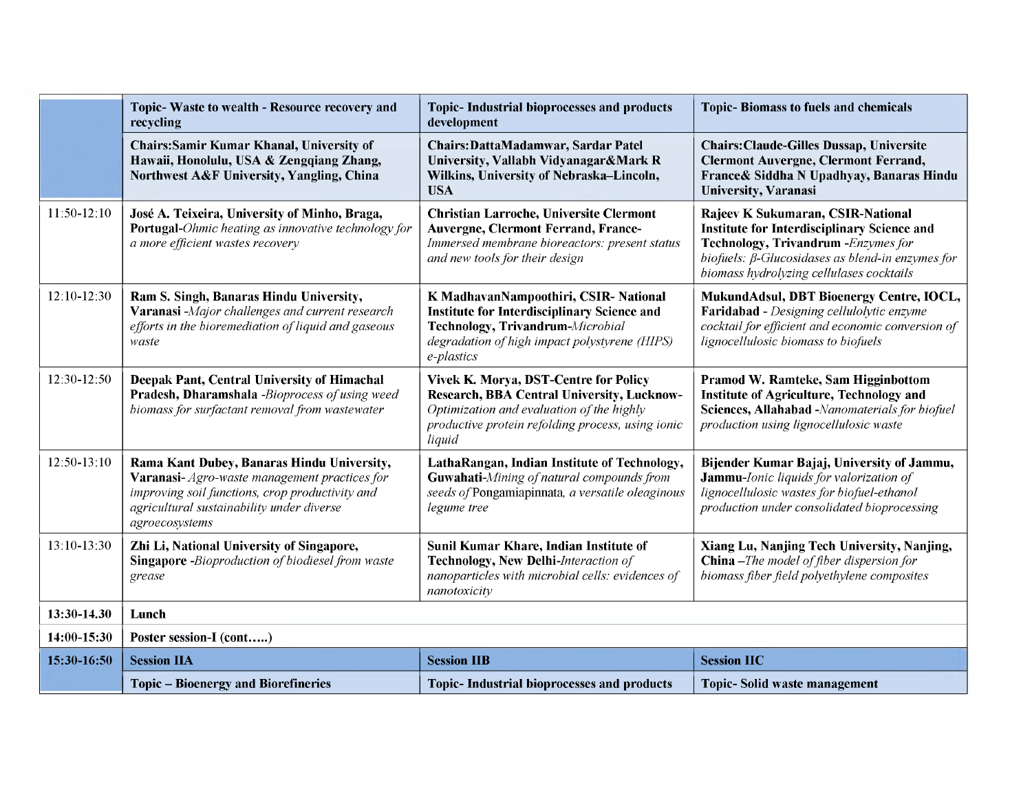|               | Topic-Waste to wealth - Resource recovery and<br>recycling                                                                                                                                                   | <b>Topic-Industrial bioprocesses and products</b><br>development                                                                                                                                       | <b>Topic-Biomass to fuels and chemicals</b>                                                                                                                                                                                            |
|---------------|--------------------------------------------------------------------------------------------------------------------------------------------------------------------------------------------------------------|--------------------------------------------------------------------------------------------------------------------------------------------------------------------------------------------------------|----------------------------------------------------------------------------------------------------------------------------------------------------------------------------------------------------------------------------------------|
|               | Chairs: Samir Kumar Khanal, University of<br>Hawaii, Honolulu, USA & Zengqiang Zhang,<br>Northwest A&F University, Yangling, China                                                                           | Chairs: DattaMadamwar, Sardar Patel<br>University, Vallabh Vidyanagar&Mark R<br>Wilkins, University of Nebraska-Lincoln,<br><b>USA</b>                                                                 | <b>Chairs: Claude-Gilles Dussap, Universite</b><br><b>Clermont Auvergne, Clermont Ferrand,</b><br>France & Siddha N Upadhyay, Banaras Hindu<br><b>University, Varanasi</b>                                                             |
| 11:50-12:10   | José A. Teixeira, University of Minho, Braga,<br>Portugal-Ohmic heating as innovative technology for<br>a more efficient wastes recovery                                                                     | <b>Christian Larroche, Universite Clermont</b><br><b>Auvergne, Clermont Ferrand, France-</b><br>Immersed membrane bioreactors: present status<br>and new tools for their design                        | Rajeev K Sukumaran, CSIR-National<br><b>Institute for Interdisciplinary Science and</b><br>Technology, Trivandrum - Enzymes for<br>biofuels: $\beta$ -Glucosidases as blend-in enzymes for<br>biomass hydrolyzing cellulases cocktails |
| $12:10-12:30$ | Ram S. Singh, Banaras Hindu University,<br>Varanasi-Major challenges and current research<br>efforts in the bioremediation of liquid and gaseous<br>waste                                                    | K MadhavanNampoothiri, CSIR- National<br><b>Institute for Interdisciplinary Science and</b><br>Technology, Trivandrum-Microbial<br>degradation of high impact polystyrene (HIPS)<br>e-plastics         | MukundAdsul, DBT Bioenergy Centre, IOCL,<br>Faridabad - Designing cellulolytic enzyme<br>cocktail for efficient and economic conversion of<br>lignocellulosic biomass to biofuels                                                      |
| 12:30-12:50   | Deepak Pant, Central University of Himachal<br>Pradesh, Dharamshala -Bioprocess of using weed<br>biomass for surfactant removal from wastewater                                                              | Vivek K. Morya, DST-Centre for Policy<br><b>Research, BBA Central University, Lucknow-</b><br>Optimization and evaluation of the highly<br>productive protein refolding process, using ionic<br>liquid | Pramod W. Ramteke, Sam Higginbottom<br><b>Institute of Agriculture, Technology and</b><br>Sciences, Allahabad -Nanomaterials for biofuel<br>production using lignocellulosic waste                                                     |
| $12:50-13:10$ | Rama Kant Dubey, Banaras Hindu University,<br>Varanasi-Agro-waste management practices for<br>improving soil functions, crop productivity and<br>agricultural sustainability under diverse<br>agroecosystems | LathaRangan, Indian Institute of Technology,<br>Guwahati-Mining of natural compounds from<br>seeds of Pongamiapinnata, a versatile oleaginous<br>legume tree                                           | Bijender Kumar Bajaj, University of Jammu,<br>Jammu-Ionic liquids for valorization of<br>lignocellulosic wastes for biofuel-ethanol<br>production under consolidated bioprocessing                                                     |
| 13:10-13:30   | Zhi Li, National University of Singapore,<br><b>Singapore</b> -Bioproduction of biodiesel from waste<br>grease                                                                                               | Sunil Kumar Khare, Indian Institute of<br>Technology, New Delhi-Interaction of<br>nanoparticles with microbial cells: evidences of<br>nanotoxicity                                                     | Xiang Lu, Nanjing Tech University, Nanjing,<br><b>China</b> -The model of fiber dispersion for<br>biomass fiber field polyethylene composites                                                                                          |
| 13:30-14.30   | Lunch                                                                                                                                                                                                        |                                                                                                                                                                                                        |                                                                                                                                                                                                                                        |
| 14:00-15:30   | Poster session-I (cont)                                                                                                                                                                                      |                                                                                                                                                                                                        |                                                                                                                                                                                                                                        |
| 15:30-16:50   | <b>Session IIA</b>                                                                                                                                                                                           | <b>Session IIB</b>                                                                                                                                                                                     | <b>Session IIC</b>                                                                                                                                                                                                                     |
|               | <b>Topic – Bioenergy and Biorefineries</b>                                                                                                                                                                   | <b>Topic-Industrial bioprocesses and products</b>                                                                                                                                                      | <b>Topic-Solid waste management</b>                                                                                                                                                                                                    |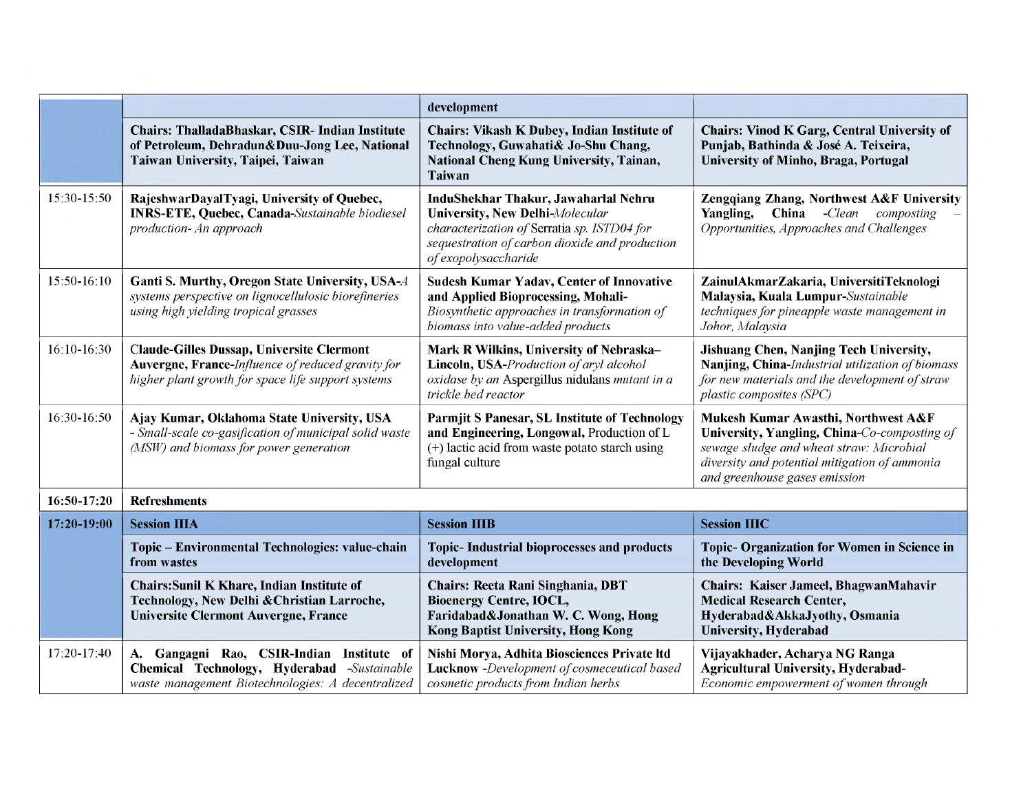|             |                                                                                                                                                             | development                                                                                                                                                                                             |                                                                                                                                                                                                                   |
|-------------|-------------------------------------------------------------------------------------------------------------------------------------------------------------|---------------------------------------------------------------------------------------------------------------------------------------------------------------------------------------------------------|-------------------------------------------------------------------------------------------------------------------------------------------------------------------------------------------------------------------|
|             | Chairs: ThalladaBhaskar, CSIR- Indian Institute<br>of Petroleum, Dehradun&Duu-Jong Lee, National<br>Taiwan University, Taipei, Taiwan                       | <b>Chairs: Vikash K Dubey, Indian Institute of</b><br>Technology, Guwahati& Jo-Shu Chang,<br>National Cheng Kung University, Tainan,<br>Taiwan                                                          | <b>Chairs: Vinod K Garg, Central University of</b><br>Punjab, Bathinda & José A. Teixeira,<br>University of Minho, Braga, Portugal                                                                                |
| 15:30-15:50 | RajeshwarDayalTyagi, University of Quebec,<br><b>INRS-ETE, Quebec, Canada-Sustainable biodiesel</b><br>production- An approach                              | InduShekhar Thakur, Jawaharlal Nehru<br><b>University, New Delhi-Molecular</b><br>characterization of Serratia sp. ISTD04 for<br>sequestration of carbon dioxide and production<br>of exopolysaccharide | Zengqiang Zhang, Northwest A&F University<br>China<br>$-Clean$<br>Yangling,<br>composting<br>Opportunities, Approaches and Challenges                                                                             |
| 15:50-16:10 | Ganti S. Murthy, Oregon State University, USA-A<br>systems perspective on lignocellulosic biorefineries<br>using high yielding tropical grasses             | <b>Sudesh Kumar Yadav, Center of Innovative</b><br>and Applied Bioprocessing, Mohali-<br>Biosynthetic approaches in transformation of<br>biomass into value-added products                              | ZainulAkmarZakaria, UniversitiTeknologi<br>Malaysia, Kuala Lumpur-Sustainable<br>techniques for pineapple waste management in<br>Johor, Malaysia                                                                  |
| 16:10-16:30 | <b>Claude-Gilles Dussap, Universite Clermont</b><br>Auvergne, France-Influence of reduced gravity for<br>higher plant growth for space life support systems | Mark R Wilkins, University of Nebraska-<br>Lincoln, USA-Production of aryl alcohol<br>oxidase by an Aspergillus nidulans mutant in a<br>trickle bed reactor                                             | Jishuang Chen, Nanjing Tech University,<br>Nanjing, China-Industrial utilization of biomass<br>for new materials and the development of straw<br>plastic composites (SPC)                                         |
| 16:30-16:50 | Ajay Kumar, Oklahoma State University, USA<br>- Small-scale co-gasification of municipal solid waste<br>(MSW) and biomass for power generation              | <b>Parmjit S Panesar, SL Institute of Technology</b><br>and Engineering, Longowal, Production of L<br>(+) lactic acid from waste potato starch using<br>fungal culture                                  | Mukesh Kumar Awasthi, Northwest A&F<br>University, Yangling, China-Co-composting of<br>sewage sludge and wheat straw: Microbial<br>diversity and potential mitigation of ammonia<br>and greenhouse gases emission |
| 16:50-17:20 | <b>Refreshments</b>                                                                                                                                         |                                                                                                                                                                                                         |                                                                                                                                                                                                                   |
| 17:20-19:00 | <b>Session IIIA</b>                                                                                                                                         | <b>Session IIIB</b>                                                                                                                                                                                     | <b>Session IIIC</b>                                                                                                                                                                                               |
|             | Topic - Environmental Technologies: value-chain<br>from wastes                                                                                              | <b>Topic-Industrial bioprocesses and products</b><br>development                                                                                                                                        | Topic- Organization for Women in Science in<br>the Developing World                                                                                                                                               |
|             | Chairs: Sunil K Khare, Indian Institute of<br>Technology, New Delhi & Christian Larroche,<br><b>Universite Clermont Auvergne, France</b>                    | <b>Chairs: Reeta Rani Singhania, DBT</b><br><b>Bioenergy Centre, IOCL,</b><br>Faridabad&Jonathan W. C. Wong, Hong<br>Kong Baptist University, Hong Kong                                                 | Chairs: Kaiser Jameel, BhagwanMahavir<br><b>Medical Research Center,</b><br>Hyderabad&AkkaJyothy, Osmania<br><b>University, Hyderabad</b>                                                                         |
| 17:20-17:40 | A. Gangagni Rao, CSIR-Indian Institute of<br>Chemical Technology, Hyderabad -Sustainable<br>waste management Biotechnologies: A decentralized               | Nishi Morya, Adhita Biosciences Private Itd<br>Lucknow -Development of cosmeceutical based<br>cosmetic products from Indian herbs                                                                       | Vijayakhader, Acharya NG Ranga<br><b>Agricultural University, Hyderabad-</b><br>Economic empowerment of women through                                                                                             |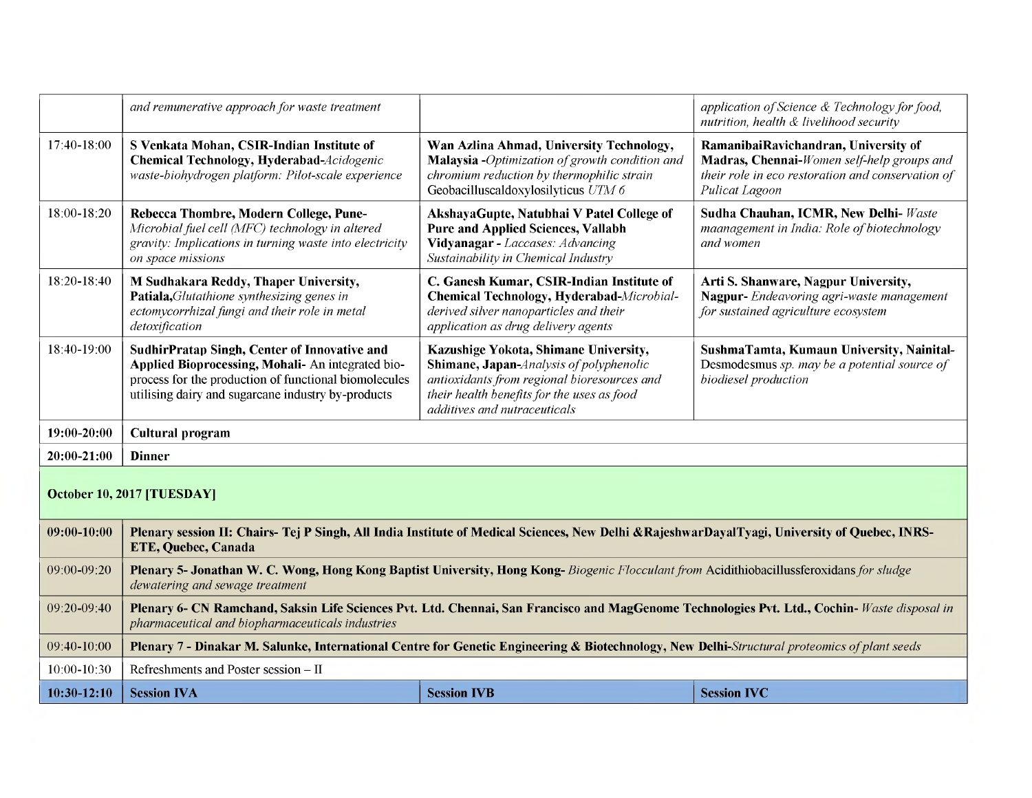|                            | and remunerative approach for waste treatment                                                                                                                                                                           |                                                                                                                                                                                                               | application of Science & Technology for food,<br>nutrition, health & livelihood security                                                                  |
|----------------------------|-------------------------------------------------------------------------------------------------------------------------------------------------------------------------------------------------------------------------|---------------------------------------------------------------------------------------------------------------------------------------------------------------------------------------------------------------|-----------------------------------------------------------------------------------------------------------------------------------------------------------|
| 17:40-18:00                | S Venkata Mohan, CSIR-Indian Institute of<br>Chemical Technology, Hyderabad-Acidogenic<br>waste-biohydrogen platform: Pilot-scale experience                                                                            | Wan Azlina Ahmad, University Technology,<br>Malaysia -Optimization of growth condition and<br>chromium reduction by thermophilic strain<br>Geobacilluscaldoxylosilyticus UTM 6                                | RamanibaiRavichandran, University of<br>Madras, Chennai-Women self-help groups and<br>their role in eco restoration and conservation of<br>Pulicat Lagoon |
| 18:00-18:20                | Rebecca Thombre, Modern College, Pune-<br>Microbial fuel cell (MFC) technology in altered<br>gravity: Implications in turning waste into electricity<br>on space missions                                               | AkshayaGupte, Natubhai V Patel College of<br><b>Pure and Applied Sciences, Vallabh</b><br>Vidyanagar - Laccases: Advancing<br>Sustainability in Chemical Industry                                             | Sudha Chauhan, ICMR, New Delhi- Waste<br>maanagement in India: Role of biotechnology<br>and women                                                         |
| 18:20-18:40                | <b>M Sudhakara Reddy, Thaper University,</b><br>Patiala, Glutathione synthesizing genes in<br>ectomycorrhizal fungi and their role in metal<br>detoxification                                                           | C. Ganesh Kumar, CSIR-Indian Institute of<br>Chemical Technology, Hyderabad-Microbial-<br>derived silver nanoparticles and their<br>application as drug delivery agents                                       | Arti S. Shanware, Nagpur University,<br>Nagpur-Endeavoring agri-waste management<br>for sustained agriculture ecosystem                                   |
| 18:40-19:00                | <b>SudhirPratap Singh, Center of Innovative and</b><br>Applied Bioprocessing, Mohali- An integrated bio-<br>process for the production of functional biomolecules<br>utilising dairy and sugarcane industry by-products | Kazushige Yokota, Shimane University,<br>Shimane, Japan-Analysis of polyphenolic<br>antioxidants from regional bioresources and<br>their health benefits for the uses as food<br>additives and nutraceuticals | SushmaTamta, Kumaun University, Nainital-<br>Desmodesmus sp. may be a potential source of<br>biodiesel production                                         |
| 19:00-20:00                | <b>Cultural program</b>                                                                                                                                                                                                 |                                                                                                                                                                                                               |                                                                                                                                                           |
| 20:00-21:00                | <b>Dinner</b>                                                                                                                                                                                                           |                                                                                                                                                                                                               |                                                                                                                                                           |
| October 10, 2017 [TUESDAY] |                                                                                                                                                                                                                         |                                                                                                                                                                                                               |                                                                                                                                                           |
| 09:00-10:00                | Plenary session II: Chairs-Tej P Singh, All India Institute of Medical Sciences, New Delhi & RajeshwarDayalTyagi, University of Quebec, INRS-<br>ETE, Quebec, Canada                                                    |                                                                                                                                                                                                               |                                                                                                                                                           |
| 09:00-09:20                | Plenary 5- Jonathan W. C. Wong, Hong Kong Baptist University, Hong Kong- Biogenic Flocculant from Acidithiobacillussferoxidans for sludge<br>dewatering and sewage treatment                                            |                                                                                                                                                                                                               |                                                                                                                                                           |
| 09:20-09:40                | Plenary 6- CN Ramchand, Saksin Life Sciences Pvt. Ltd. Chennai, San Francisco and MagGenome Technologies Pvt. Ltd., Cochin- Waste disposal in<br>pharmaceutical and biopharmaceuticals industries                       |                                                                                                                                                                                                               |                                                                                                                                                           |
| 09:40-10:00                | Plenary 7 - Dinakar M. Salunke, International Centre for Genetic Engineering & Biotechnology, New Delhi-Structural proteomics of plant seeds                                                                            |                                                                                                                                                                                                               |                                                                                                                                                           |
| 10:00-10:30                | Refreshments and Poster session - II                                                                                                                                                                                    |                                                                                                                                                                                                               |                                                                                                                                                           |
| $10:30-12:10$              | <b>Session IVA</b>                                                                                                                                                                                                      | <b>Session IVB</b>                                                                                                                                                                                            | <b>Session IVC</b>                                                                                                                                        |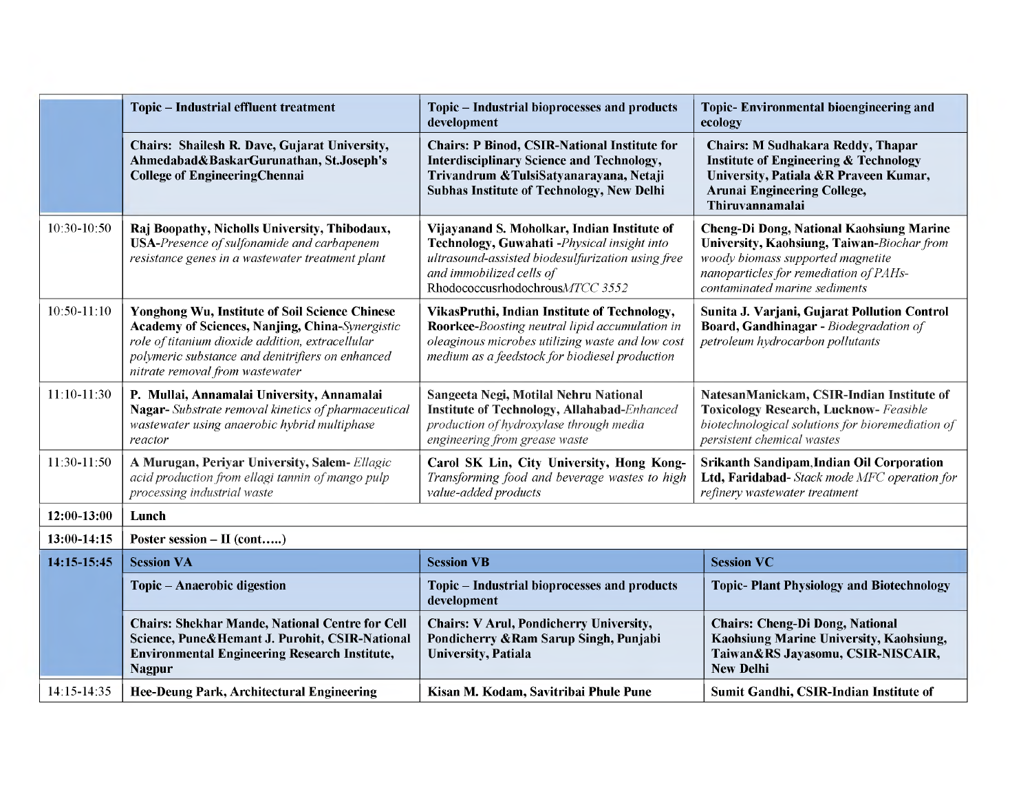|                 | <b>Topic - Industrial effluent treatment</b>                                                                                                                                                                                                        | Topic - Industrial bioprocesses and products<br>development                                                                                                                                                    | <b>Topic-Environmental bioengineering and</b><br>ecology                                                                                                                                                      |
|-----------------|-----------------------------------------------------------------------------------------------------------------------------------------------------------------------------------------------------------------------------------------------------|----------------------------------------------------------------------------------------------------------------------------------------------------------------------------------------------------------------|---------------------------------------------------------------------------------------------------------------------------------------------------------------------------------------------------------------|
|                 | Chairs: Shailesh R. Dave, Gujarat University,<br>Ahmedabad&BaskarGurunathan, St.Joseph's<br><b>College of EngineeringChennai</b>                                                                                                                    | <b>Chairs: P Binod, CSIR-National Institute for</b><br><b>Interdisciplinary Science and Technology,</b><br>Trivandrum & TulsiSatyanarayana, Netaji<br><b>Subhas Institute of Technology, New Delhi</b>         | <b>Chairs: M Sudhakara Reddy, Thapar</b><br><b>Institute of Engineering &amp; Technology</b><br>University, Patiala &R Praveen Kumar,<br><b>Arunai Engineering College,</b><br>Thiruvannamalai                |
| 10:30-10:50     | Raj Boopathy, Nicholls University, Thibodaux,<br><b>USA-Presence of sulfonamide and carbapenem</b><br>resistance genes in a wastewater treatment plant                                                                                              | Vijayanand S. Moholkar, Indian Institute of<br>Technology, Guwahati -Physical insight into<br>ultrasound-assisted biodesulfurization using free<br>and immobilized cells of<br>RhodococcusrhodochrousMTCC 3552 | <b>Cheng-Di Dong, National Kaohsiung Marine</b><br>University, Kaohsiung, Taiwan-Biochar from<br>woody biomass supported magnetite<br>nanoparticles for remediation of PAHs-<br>contaminated marine sediments |
| $10:50 - 11:10$ | Yonghong Wu, Institute of Soil Science Chinese<br><b>Academy of Sciences, Nanjing, China-Synergistic</b><br>role of titanium dioxide addition, extracellular<br>polymeric substance and denitrifiers on enhanced<br>nitrate removal from wastewater | VikasPruthi, Indian Institute of Technology,<br>Roorkee-Boosting neutral lipid accumulation in<br>oleaginous microbes utilizing waste and low cost<br>medium as a feedstock for biodiesel production           | Sunita J. Varjani, Gujarat Pollution Control<br>Board, Gandhinagar - Biodegradation of<br>petroleum hydrocarbon pollutants                                                                                    |
| 11:10-11:30     | P. Mullai, Annamalai University, Annamalai<br>Nagar-Substrate removal kinetics of pharmaceutical<br>wastewater using anaerobic hybrid multiphase<br>reactor                                                                                         | Sangeeta Negi, Motilal Nehru National<br><b>Institute of Technology, Allahabad-Enhanced</b><br>production of hydroxylase through media<br>engineering from grease waste                                        | NatesanManickam, CSIR-Indian Institute of<br><b>Toxicology Research, Lucknow-</b> Feasible<br>biotechnological solutions for bioremediation of<br>persistent chemical wastes                                  |
| 11:30-11:50     | A Murugan, Periyar University, Salem- Ellagic<br>acid production from ellagi tannin of mango pulp<br>processing industrial waste                                                                                                                    | Carol SK Lin, City University, Hong Kong-<br>Transforming food and beverage wastes to high<br>value-added products                                                                                             | <b>Srikanth Sandipam, Indian Oil Corporation</b><br>Ltd, Faridabad- Stack mode MFC operation for<br>refinery wastewater treatment                                                                             |
| 12:00-13:00     | Lunch                                                                                                                                                                                                                                               |                                                                                                                                                                                                                |                                                                                                                                                                                                               |
| 13:00-14:15     | Poster session $-$ II (cont)                                                                                                                                                                                                                        |                                                                                                                                                                                                                |                                                                                                                                                                                                               |
| 14:15-15:45     | <b>Session VA</b>                                                                                                                                                                                                                                   | <b>Session VB</b>                                                                                                                                                                                              | <b>Session VC</b>                                                                                                                                                                                             |
|                 | Topic - Anaerobic digestion                                                                                                                                                                                                                         | Topic - Industrial bioprocesses and products<br>development                                                                                                                                                    | <b>Topic-Plant Physiology and Biotechnology</b>                                                                                                                                                               |
|                 | <b>Chairs: Shekhar Mande, National Centre for Cell</b><br>Science, Pune&Hemant J. Purohit, CSIR-National<br><b>Environmental Engineering Research Institute,</b><br><b>Nagpur</b>                                                                   | <b>Chairs: V Arul, Pondicherry University,</b><br>Pondicherry & Ram Sarup Singh, Punjabi<br><b>University</b> , Patiala                                                                                        | <b>Chairs: Cheng-Di Dong, National</b><br>Kaohsiung Marine University, Kaohsiung,<br>Taiwan&RS Jayasomu, CSIR-NISCAIR,<br><b>New Delhi</b>                                                                    |
| 14:15-14:35     | <b>Hee-Deung Park, Architectural Engineering</b>                                                                                                                                                                                                    | Kisan M. Kodam, Savitribai Phule Pune                                                                                                                                                                          | Sumit Gandhi, CSIR-Indian Institute of                                                                                                                                                                        |